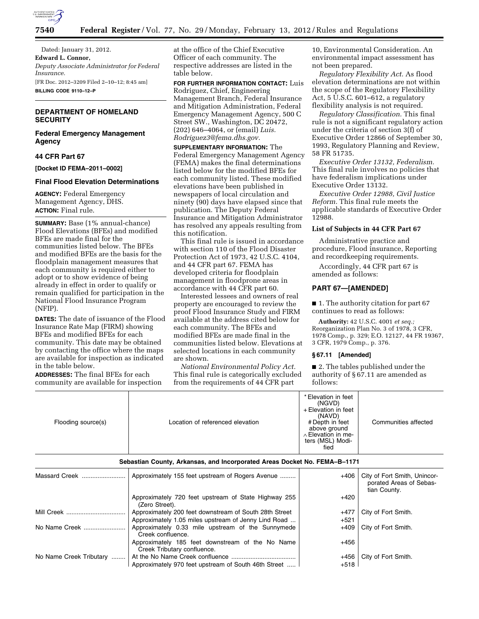

Dated: January 31, 2012. **Edward L. Connor,**  *Deputy Associate Administrator for Federal Insurance.*  [FR Doc. 2012–3209 Filed 2–10–12; 8:45 am] **BILLING CODE 9110–12–P** 

# **DEPARTMENT OF HOMELAND SECURITY**

# **Federal Emergency Management Agency**

# **44 CFR Part 67**

**[Docket ID FEMA–2011–0002]** 

#### **Final Flood Elevation Determinations**

**AGENCY:** Federal Emergency Management Agency, DHS. **ACTION:** Final rule.

**SUMMARY:** Base (1% annual-chance) Flood Elevations (BFEs) and modified BFEs are made final for the communities listed below. The BFEs and modified BFEs are the basis for the floodplain management measures that each community is required either to adopt or to show evidence of being already in effect in order to qualify or remain qualified for participation in the National Flood Insurance Program (NFIP).

**DATES:** The date of issuance of the Flood Insurance Rate Map (FIRM) showing BFEs and modified BFEs for each community. This date may be obtained by contacting the office where the maps are available for inspection as indicated in the table below.

**ADDRESSES:** The final BFEs for each community are available for inspection

at the office of the Chief Executive Officer of each community. The respective addresses are listed in the table below.

**FOR FURTHER INFORMATION CONTACT:** Luis Rodriguez, Chief, Engineering Management Branch, Federal Insurance and Mitigation Administration, Federal Emergency Management Agency, 500 C Street SW., Washington, DC 20472, (202) 646–4064, or (email) *Luis. Rodriguez3@fema.dhs.gov.* 

**SUPPLEMENTARY INFORMATION:** The Federal Emergency Management Agency (FEMA) makes the final determinations listed below for the modified BFEs for each community listed. These modified elevations have been published in newspapers of local circulation and ninety (90) days have elapsed since that publication. The Deputy Federal Insurance and Mitigation Administrator has resolved any appeals resulting from this notification.

This final rule is issued in accordance with section 110 of the Flood Disaster Protection Act of 1973, 42 U.S.C. 4104, and 44 CFR part 67. FEMA has developed criteria for floodplain management in floodprone areas in accordance with 44 CFR part 60.

Interested lessees and owners of real property are encouraged to review the proof Flood Insurance Study and FIRM available at the address cited below for each community. The BFEs and modified BFEs are made final in the communities listed below. Elevations at selected locations in each community are shown.

*National Environmental Policy Act.*  This final rule is categorically excluded from the requirements of 44 CFR part

10, Environmental Consideration. An environmental impact assessment has not been prepared.

*Regulatory Flexibility Act.* As flood elevation determinations are not within the scope of the Regulatory Flexibility Act, 5 U.S.C. 601–612, a regulatory flexibility analysis is not required.

*Regulatory Classification.* This final rule is not a significant regulatory action under the criteria of section 3(f) of Executive Order 12866 of September 30, 1993, Regulatory Planning and Review, 58 FR 51735.

*Executive Order 13132, Federalism.*  This final rule involves no policies that have federalism implications under Executive Order 13132.

*Executive Order 12988, Civil Justice Reform.* This final rule meets the applicable standards of Executive Order 12988.

### **List of Subjects in 44 CFR Part 67**

Administrative practice and procedure, Flood insurance, Reporting and recordkeeping requirements.

Accordingly, 44 CFR part 67 is amended as follows:

### **PART 67—[AMENDED]**

■ 1. The authority citation for part 67 continues to read as follows:

**Authority:** 42 U.S.C. 4001 *et seq.;*  Reorganization Plan No. 3 of 1978, 3 CFR, 1978 Comp., p. 329; E.O. 12127, 44 FR 19367, 3 CFR, 1979 Comp., p. 376.

### **§ 67.11 [Amended]**

■ 2. The tables published under the authority of § 67.11 are amended as follows:

| Flooding source(s) | Location of referenced elevation | * Elevation in feet<br>(NGVD)<br>+ Elevation in feet<br>(NAVD)<br># Depth in feet<br>above ground<br>$\land$ Elevation in me-<br>ters (MSL) Modi-<br>fied | Communities affected |
|--------------------|----------------------------------|-----------------------------------------------------------------------------------------------------------------------------------------------------------|----------------------|

**Sebastian County, Arkansas, and Incorporated Areas Docket No. FEMA–B–1171** 

| Massard Creek           | Approximately 155 feet upstream of Rogers Avenue                                | +406   | City of Fort Smith, Unincor-<br>porated Areas of Sebas-<br>tian County. |
|-------------------------|---------------------------------------------------------------------------------|--------|-------------------------------------------------------------------------|
|                         | Approximately 720 feet upstream of State Highway 255<br>(Zero Street).          | $+420$ |                                                                         |
| Mill Creek              | Approximately 200 feet downstream of South 28th Street                          | $+477$ | City of Fort Smith.                                                     |
|                         | Approximately 1.05 miles upstream of Jenny Lind Road                            | $+521$ |                                                                         |
| No Name Creek           | Approximately 0.33 mile upstream of the Sunnymede<br>Creek confluence.          | $+409$ | City of Fort Smith.                                                     |
|                         | Approximately 185 feet downstream of the No Name<br>Creek Tributary confluence. | $+456$ |                                                                         |
| No Name Creek Tributary |                                                                                 | $+456$ | City of Fort Smith.                                                     |
|                         | Approximately 970 feet upstream of South 46th Street                            | $+518$ |                                                                         |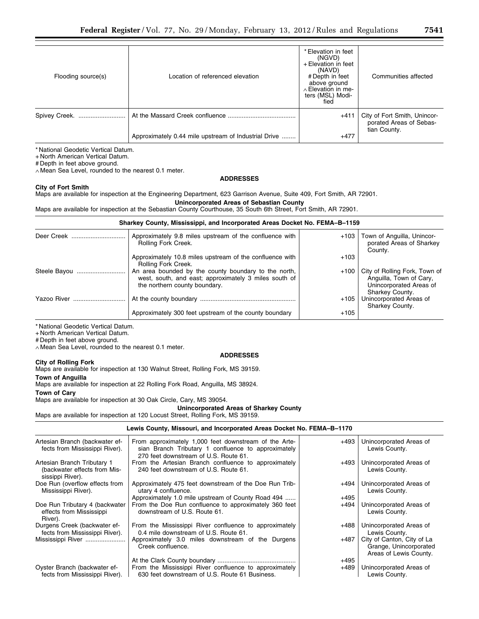| Flooding source(s) | Location of referenced elevation                     | * Elevation in feet<br>(NGVD)<br>+ Elevation in feet<br>(NAVD)<br># Depth in feet<br>above ground<br>$\land$ Elevation in me-<br>ters (MSL) Modi-<br>fied | Communities affected                                                    |
|--------------------|------------------------------------------------------|-----------------------------------------------------------------------------------------------------------------------------------------------------------|-------------------------------------------------------------------------|
| Spivey Creek.      |                                                      | $+411$                                                                                                                                                    | City of Fort Smith, Unincor-<br>porated Areas of Sebas-<br>tian County. |
|                    | Approximately 0.44 mile upstream of Industrial Drive | $+477$                                                                                                                                                    |                                                                         |

+ North American Vertical Datum.

# Depth in feet above ground.

∧ Mean Sea Level, rounded to the nearest 0.1 meter.

# **ADDRESSES**

### **City of Fort Smith**

Maps are available for inspection at the Engineering Department, 623 Garrison Avenue, Suite 409, Fort Smith, AR 72901.

**Unincorporated Areas of Sebastian County** 

Maps are available for inspection at the Sebastian County Courthouse, 35 South 6th Street, Fort Smith, AR 72901.

# **Sharkey County, Mississippi, and Incorporated Areas Docket No. FEMA–B–1159**

| Deer Creek   | Approximately 9.8 miles upstream of the confluence with<br>Rolling Fork Creek.                                                                 |        | +103   Town of Anguilla, Unincor-<br>porated Areas of Sharkey<br>County.                               |
|--------------|------------------------------------------------------------------------------------------------------------------------------------------------|--------|--------------------------------------------------------------------------------------------------------|
|              | Approximately 10.8 miles upstream of the confluence with<br>Rolling Fork Creek.                                                                | $+103$ |                                                                                                        |
| Steele Bayou | An area bounded by the county boundary to the north,<br>west, south, and east; approximately 3 miles south of<br>the northern county boundary. | $+100$ | City of Rolling Fork, Town of<br>Anguilla, Town of Cary,<br>Unincorporated Areas of<br>Sharkey County. |
| Yazoo River  |                                                                                                                                                | $+105$ | Unincorporated Areas of<br>Sharkey County.                                                             |
|              | Approximately 300 feet upstream of the county boundary                                                                                         | $+105$ |                                                                                                        |

\* National Geodetic Vertical Datum.

+ North American Vertical Datum.

# Depth in feet above ground.

∧ Mean Sea Level, rounded to the nearest 0.1 meter.

### **ADDRESSES**

### **City of Rolling Fork**

Maps are available for inspection at 130 Walnut Street, Rolling Fork, MS 39159.

**Town of Anguilla** 

Maps are available for inspection at 22 Rolling Fork Road, Anguilla, MS 38924.

# **Town of Cary**

Maps are available for inspection at 30 Oak Circle, Cary, MS 39054.

# **Unincorporated Areas of Sharkey County**

Maps are available for inspection at 120 Locust Street, Rolling Fork, MS 39159.

# **Lewis County, Missouri, and Incorporated Areas Docket No. FEMA–B–1170**

| Artesian Branch (backwater ef-<br>fects from Mississippi River).                | From approximately 1,000 feet downstream of the Arte-<br>sian Branch Tributary 1 confluence to approximately<br>270 feet downstream of U.S. Route 61. | +493           | Unincorporated Areas of<br>Lewis County.                                       |
|---------------------------------------------------------------------------------|-------------------------------------------------------------------------------------------------------------------------------------------------------|----------------|--------------------------------------------------------------------------------|
| Artesian Branch Tributary 1<br>(backwater effects from Mis-<br>sissippi River). | From the Artesian Branch confluence to approximately<br>240 feet downstream of U.S. Route 61.                                                         | +493           | Unincorporated Areas of<br>Lewis County.                                       |
| Doe Run (overflow effects from<br>Mississippi River).                           | Approximately 475 feet downstream of the Doe Run Trib-<br>utary 4 confluence.<br>Approximately 1.0 mile upstream of County Road 494                   | +494<br>$+495$ | Unincorporated Areas of<br>Lewis County.                                       |
| Doe Run Tributary 4 (backwater<br>effects from Mississippi<br>River).           | From the Doe Run confluence to approximately 360 feet<br>downstream of U.S. Route 61.                                                                 | +494           | Unincorporated Areas of<br>Lewis County.                                       |
| Durgens Creek (backwater ef-<br>fects from Mississippi River).                  | From the Mississippi River confluence to approximately<br>0.4 mile downstream of U.S. Route 61.                                                       | +488           | Unincorporated Areas of<br>Lewis County.                                       |
| Mississippi River                                                               | Approximately 3.0 miles downstream of the Durgens<br>Creek confluence.                                                                                | +487           | City of Canton, City of La<br>Grange, Unincorporated<br>Areas of Lewis County. |
|                                                                                 |                                                                                                                                                       | $+495$         |                                                                                |
| Oyster Branch (backwater ef-<br>fects from Mississippi River).                  | From the Mississippi River confluence to approximately<br>630 feet downstream of U.S. Route 61 Business.                                              | $+489$         | Unincorporated Areas of<br>Lewis County.                                       |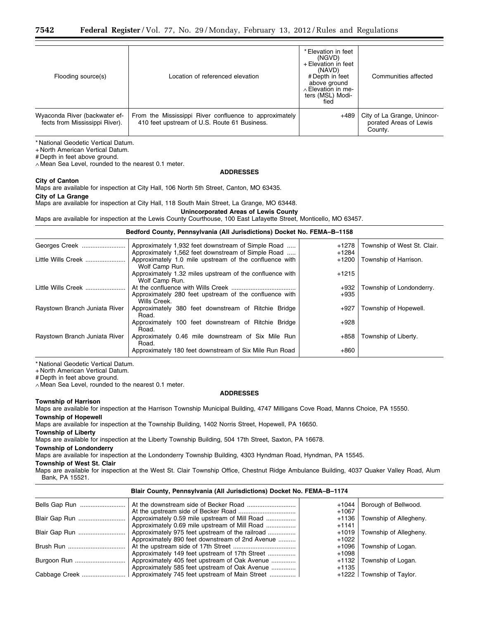| Flooding source(s)                                              | Location of referenced elevation                                                                       | * Elevation in feet<br>(NGVD)<br>+ Elevation in feet<br>(NAVD)<br># Depth in feet<br>above ground<br>$\land$ Elevation in me-<br>ters (MSL) Modi-<br>fied | Communities affected                                             |
|-----------------------------------------------------------------|--------------------------------------------------------------------------------------------------------|-----------------------------------------------------------------------------------------------------------------------------------------------------------|------------------------------------------------------------------|
| Wyaconda River (backwater ef-<br>fects from Mississippi River). | From the Mississippi River confluence to approximately<br>410 feet upstream of U.S. Route 61 Business. | +489                                                                                                                                                      | City of La Grange, Unincor-<br>porated Areas of Lewis<br>County. |

+ North American Vertical Datum.

# Depth in feet above ground.

∧ Mean Sea Level, rounded to the nearest 0.1 meter.

## **ADDRESSES**

### **City of Canton**

Maps are available for inspection at City Hall, 106 North 5th Street, Canton, MO 63435.

**City of La Grange** 

Maps are available for inspection at City Hall, 118 South Main Street, La Grange, MO 63448.

**Unincorporated Areas of Lewis County** 

Maps are available for inspection at the Lewis County Courthouse, 100 East Lafayette Street, Monticello, MO 63457.

### **Bedford County, Pennsylvania (All Jurisdictions) Docket No. FEMA–B–1158**

| Georges Creek                 | Approximately 1,932 feet downstream of Simple Road<br>Approximately 1,562 feet downstream of Simple Road | $+1278$<br>$+1284$ | Township of West St. Clair. |
|-------------------------------|----------------------------------------------------------------------------------------------------------|--------------------|-----------------------------|
| Little Wills Creek            | Approximately 1.0 mile upstream of the confluence with                                                   | $+1200$            | Township of Harrison.       |
|                               | Wolf Camp Run.                                                                                           |                    |                             |
|                               | Approximately 1.32 miles upstream of the confluence with<br>Wolf Camp Run.                               | $+1215$            |                             |
| Little Wills Creek            |                                                                                                          | $+932$             | Township of Londonderry.    |
|                               | Approximately 280 feet upstream of the confluence with<br>Wills Creek.                                   | $+935$             |                             |
| Raystown Branch Juniata River | Approximately 380 feet downstream of Ritchie Bridge<br>Road.                                             | $+927$             | Township of Hopewell.       |
|                               | Approximately 100 feet downstream of Ritchie Bridge<br>Road.                                             | $+928$             |                             |
| Raystown Branch Juniata River | Approximately 0.46 mile downstream of Six Mile Run<br>Road.                                              | $+858$             | Township of Liberty.        |
|                               | Approximately 180 feet downstream of Six Mile Run Road                                                   | $+860$             |                             |

\* National Geodetic Vertical Datum.

+ North American Vertical Datum.

# Depth in feet above ground.

∧ Mean Sea Level, rounded to the nearest 0.1 meter.

### **ADDRESSES**

#### **Township of Harrison**

Maps are available for inspection at the Harrison Township Municipal Building, 4747 Milligans Cove Road, Manns Choice, PA 15550.

### **Township of Hopewell**

Maps are available for inspection at the Township Building, 1402 Norris Street, Hopewell, PA 16650.

### **Township of Liberty**

Maps are available for inspection at the Liberty Township Building, 504 17th Street, Saxton, PA 16678.

#### **Township of Londonderry**

Maps are available for inspection at the Londonderry Township Building, 4303 Hyndman Road, Hyndman, PA 15545.

#### **Township of West St. Clair**

Maps are available for inspection at the West St. Clair Township Office, Chestnut Ridge Ambulance Building, 4037 Quaker Valley Road, Alum Bank, PA 15521.

**Blair County, Pennsylvania (All Jurisdictions) Docket No. FEMA–B–1174** 

# Bells Gap Run .......................... At the downstream side of Becker Road ............................ +1044 Borough of Bellwood. At the upstream side of Becker Road ................................. +1067

|               |                                                 | $+1007$ |                                |  |
|---------------|-------------------------------------------------|---------|--------------------------------|--|
|               | Approximately 0.59 mile upstream of Mill Road   |         | +1136 Township of Allegheny.   |  |
|               | Approximately 0.69 mile upstream of Mill Road   | $+1141$ |                                |  |
|               | Approximately 975 feet upstream of the railroad |         | $+1019$ Township of Allegheny. |  |
|               | Approximately 890 feet downstream of 2nd Avenue | +1022   |                                |  |
|               |                                                 |         | +1096 Township of Logan.       |  |
|               | Approximately 149 feet upstream of 17th Street  | +1098   |                                |  |
| Burgoon Run   | Approximately 405 feet upstream of Oak Avenue   |         | +1132 Township of Logan.       |  |
|               | Approximately 585 feet upstream of Oak Avenue   | +1135   |                                |  |
| Cabbage Creek | Approximately 745 feet upstream of Main Street  |         | $+1222$ Township of Taylor.    |  |
|               |                                                 |         |                                |  |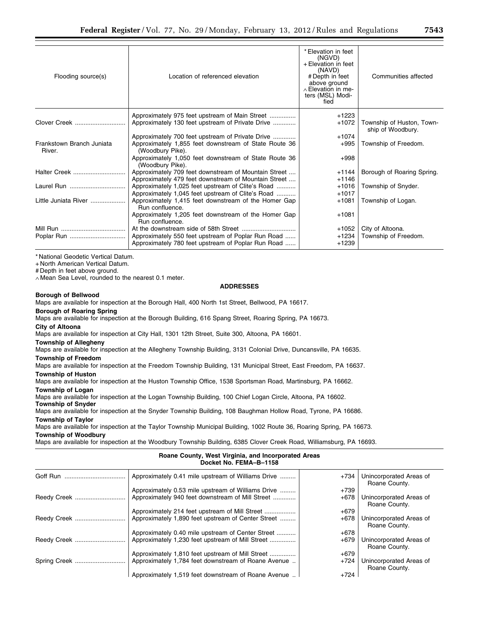| Flooding source(s)                  | Location of referenced elevation                                          | * Elevation in feet<br>(NGVD)<br>+ Elevation in feet<br>(NAVD)<br># Depth in feet<br>above ground<br>$\land$ Elevation in me-<br>ters (MSL) Modi-<br>fied | Communities affected                           |
|-------------------------------------|---------------------------------------------------------------------------|-----------------------------------------------------------------------------------------------------------------------------------------------------------|------------------------------------------------|
|                                     | Approximately 975 feet upstream of Main Street                            | $+1223$                                                                                                                                                   |                                                |
| Clover Creek                        |                                                                           |                                                                                                                                                           |                                                |
|                                     | Approximately 130 feet upstream of Private Drive                          | $+1072$                                                                                                                                                   | Township of Huston, Town-<br>ship of Woodbury. |
|                                     | Approximately 700 feet upstream of Private Drive                          | $+1074$                                                                                                                                                   |                                                |
| Frankstown Branch Juniata<br>River. | Approximately 1,855 feet downstream of State Route 36<br>(Woodbury Pike). | $+995$                                                                                                                                                    | Township of Freedom.                           |
|                                     | Approximately 1,050 feet downstream of State Route 36<br>(Woodbury Pike). | $+998$                                                                                                                                                    |                                                |
| Halter Creek                        | Approximately 709 feet downstream of Mountain Street                      | $+1144$                                                                                                                                                   | Borough of Roaring Spring.                     |
|                                     | Approximately 479 feet downstream of Mountain Street                      | $+1146$                                                                                                                                                   |                                                |
| Laurel Run                          | Approximately 1,025 feet upstream of Clite's Road                         | $+1016$                                                                                                                                                   | Township of Snyder.                            |
|                                     | Approximately 1,045 feet upstream of Clite's Road                         | $+1017$                                                                                                                                                   |                                                |
| Little Juniata River                | Approximately 1,415 feet downstream of the Homer Gap<br>Run confluence.   | $+1081$                                                                                                                                                   | Township of Logan.                             |
|                                     | Approximately 1,205 feet downstream of the Homer Gap<br>Run confluence.   | $+1081$                                                                                                                                                   |                                                |
|                                     |                                                                           | $+1052$                                                                                                                                                   | City of Altoona.                               |
|                                     | Approximately 550 feet upstream of Poplar Run Road                        | $+1234$                                                                                                                                                   | Township of Freedom.                           |
|                                     | Approximately 780 feet upstream of Poplar Run Road                        | $+1239$                                                                                                                                                   |                                                |

+ North American Vertical Datum.

# Depth in feet above ground.

∧ Mean Sea Level, rounded to the nearest 0.1 meter.

### **ADDRESSES**

### **Borough of Bellwood**

Maps are available for inspection at the Borough Hall, 400 North 1st Street, Bellwood, PA 16617.

**Borough of Roaring Spring** 

Maps are available for inspection at the Borough Building, 616 Spang Street, Roaring Spring, PA 16673.

**City of Altoona** 

Maps are available for inspection at City Hall, 1301 12th Street, Suite 300, Altoona, PA 16601.

# **Township of Allegheny**

Maps are available for inspection at the Allegheny Township Building, 3131 Colonial Drive, Duncansville, PA 16635.

**Township of Freedom**  Maps are available for inspection at the Freedom Township Building, 131 Municipal Street, East Freedom, PA 16637.

# **Township of Huston**

Maps are available for inspection at the Huston Township Office, 1538 Sportsman Road, Martinsburg, PA 16662.

**Township of Logan** 

Maps are available for inspection at the Logan Township Building, 100 Chief Logan Circle, Altoona, PA 16602.

# **Township of Snyder**

Maps are available for inspection at the Snyder Township Building, 108 Baughman Hollow Road, Tyrone, PA 16686.

# **Township of Taylor**

Maps are available for inspection at the Taylor Township Municipal Building, 1002 Route 36, Roaring Spring, PA 16673.

# **Township of Woodbury**

Maps are available for inspection at the Woodbury Township Building, 6385 Clover Creek Road, Williamsburg, PA 16693.

| Roane County, West Virginia, and Incorporated Areas<br>Docket No. FEMA-B-1158 |                                                     |        |                                          |
|-------------------------------------------------------------------------------|-----------------------------------------------------|--------|------------------------------------------|
|                                                                               | Approximately 0.41 mile upstream of Williams Drive  | $+734$ | Unincorporated Areas of<br>Roane County. |
|                                                                               | Approximately 0.53 mile upstream of Williams Drive  | $+739$ |                                          |
| Reedy Creek                                                                   | Approximately 940 feet downstream of Mill Street    | $+678$ | Unincorporated Areas of<br>Roane County. |
|                                                                               | Approximately 214 feet upstream of Mill Street      | $+679$ |                                          |
|                                                                               | Approximately 1,890 feet upstream of Center Street  | $+678$ | Unincorporated Areas of<br>Roane County. |
|                                                                               | Approximately 0.40 mile upstream of Center Street   | $+678$ |                                          |
|                                                                               | Approximately 1,230 feet upstream of Mill Street    | $+679$ | Unincorporated Areas of<br>Roane County. |
|                                                                               | Approximately 1,810 feet upstream of Mill Street    | $+679$ |                                          |
| Spring Creek                                                                  | Approximately 1,784 feet downstream of Roane Avenue | $+724$ | Unincorporated Areas of<br>Roane County. |
|                                                                               | Approximately 1,519 feet downstream of Roane Avenue | $+724$ |                                          |